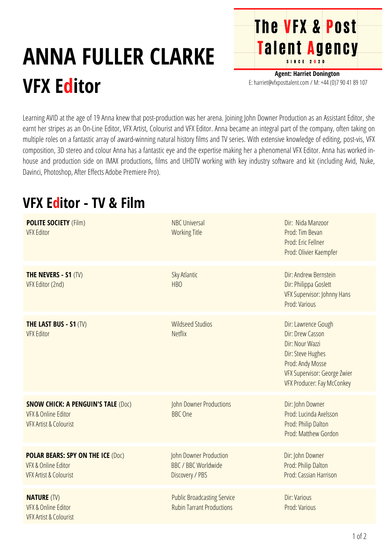## **ANNA FULLER CLARKE VFX Editor**

**Agent: Harriet Donington** E: harriet@vfxposttalent.com / M:+44(0)7904189107

**The VFX & Post** 

Talent Agency

Learning AVID at the age of 19 Anna knew that post-production was her arena. Joining John Downer Production as an Assistant Editor, she earnt her stripes as an On-Line Editor, VFX Artist, Colourist and VFX Editor. Anna became an integral part of the company, often taking on multiple roles on a fantastic array of award-winning natural history films and TV series. With extensive knowledge of editing, post-vis, VFX composition, 3D stereo and colour Anna has a fantastic eye and the expertise making her a phenomenal VFX Editor. Anna has worked inhouse and production side on IMAX productions, films and UHDTV working with key industry software and kit (including Avid, Nuke, Davinci, Photoshop, After Effects Adobe Premiere Pro).

## **VFX Editor - TV & Film**

| <b>POLITE SOCIETY (Film)</b><br><b>VFX Editor</b>                                                                | <b>NBC Universal</b><br><b>Working Title</b>                            | Dir: Nida Manzoor<br>Prod: Tim Bevan<br>Prod: Eric Fellner<br>Prod: Olivier Kaempfer                                                                                     |
|------------------------------------------------------------------------------------------------------------------|-------------------------------------------------------------------------|--------------------------------------------------------------------------------------------------------------------------------------------------------------------------|
| <b>THE NEVERS - S1 (TV)</b><br>VFX Editor (2nd)                                                                  | Sky Atlantic<br><b>HBO</b>                                              | Dir: Andrew Bernstein<br>Dir: Philippa Goslett<br>VFX Supervisor: Johnny Hans<br>Prod: Various                                                                           |
| <b>THE LAST BUS - S1 (TV)</b><br><b>VFX Editor</b>                                                               | <b>Wildseed Studios</b><br><b>Netflix</b>                               | Dir: Lawrence Gough<br>Dir: Drew Casson<br>Dir: Nour Wazzi<br>Dir: Steve Hughes<br>Prod: Andy Mosse<br>VFX Supervisor: George Zwier<br><b>VFX Producer: Fay McConkey</b> |
| <b>SNOW CHICK: A PENGUIN'S TALE (DOC)</b><br><b>VFX &amp; Online Editor</b><br><b>VFX Artist &amp; Colourist</b> | John Downer Productions<br><b>BBC</b> One                               | Dir: John Downer<br>Prod: Lucinda Axelsson<br>Prod: Philip Dalton<br>Prod: Matthew Gordon                                                                                |
| <b>POLAR BEARS: SPY ON THE ICE (Doc)</b><br><b>VFX &amp; Online Editor</b><br><b>VFX Artist &amp; Colourist</b>  | John Downer Production<br><b>BBC / BBC Worldwide</b><br>Discovery / PBS | Dir: John Downer<br>Prod: Philip Dalton<br>Prod: Cassian Harrison                                                                                                        |
| <b>NATURE (TV)</b><br><b>VFX &amp; Online Editor</b><br><b>VFX Artist &amp; Colourist</b>                        | <b>Public Broadcasting Service</b><br><b>Rubin Tarrant Productions</b>  | Dir: Various<br>Prod: Various                                                                                                                                            |